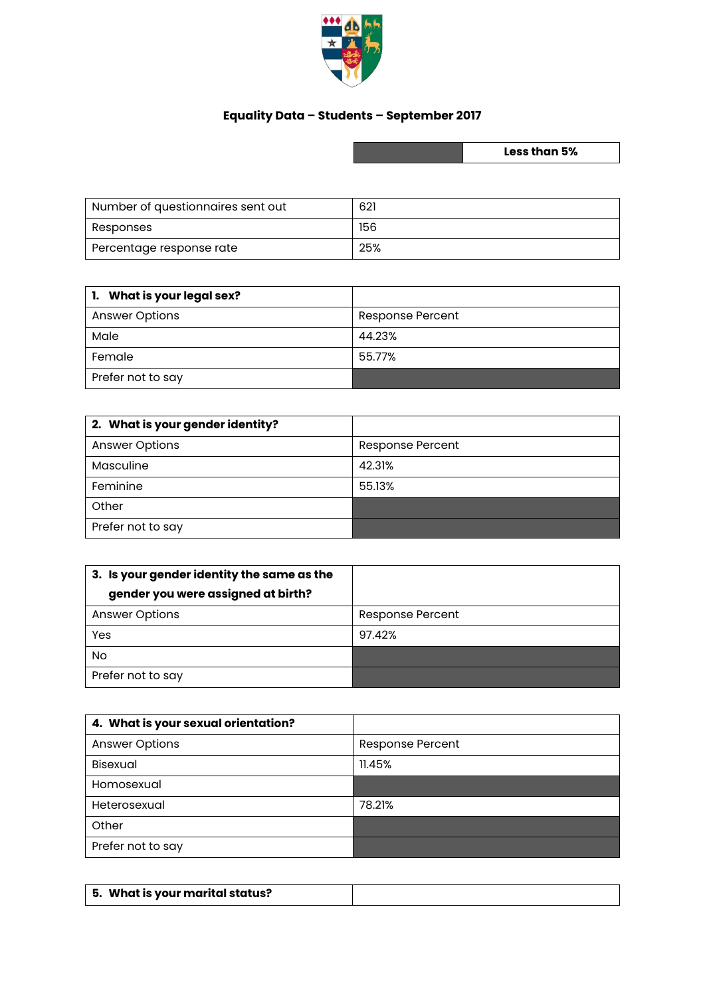

## **Equality Data – Students – September 2017**

**Less than 5%**

| Number of questionnaires sent out | 621 |
|-----------------------------------|-----|
| Responses                         | 156 |
| Percentage response rate          | 25% |

| <b>1.</b> What is your legal sex? |                  |
|-----------------------------------|------------------|
| <b>Answer Options</b>             | Response Percent |
| Male                              | 44.23%           |
| Female                            | 55.77%           |
| Prefer not to say                 |                  |

| 2. What is your gender identity? |                         |
|----------------------------------|-------------------------|
| <b>Answer Options</b>            | <b>Response Percent</b> |
| Masculine                        | 42.31%                  |
| Feminine                         | 55.13%                  |
| Other                            |                         |
| Prefer not to say                |                         |

| 3. Is your gender identity the same as the<br>gender you were assigned at birth? |                  |
|----------------------------------------------------------------------------------|------------------|
| <b>Answer Options</b>                                                            | Response Percent |
| Yes                                                                              | 97.42%           |
| No                                                                               |                  |
| Prefer not to say                                                                |                  |

| 4. What is your sexual orientation? |                  |
|-------------------------------------|------------------|
| <b>Answer Options</b>               | Response Percent |
| <b>Bisexual</b>                     | 11.45%           |
| Homosexual                          |                  |
| Heterosexual                        | 78.21%           |
| Other                               |                  |
| Prefer not to say                   |                  |

| 5. What is your marital status? |  |
|---------------------------------|--|
|---------------------------------|--|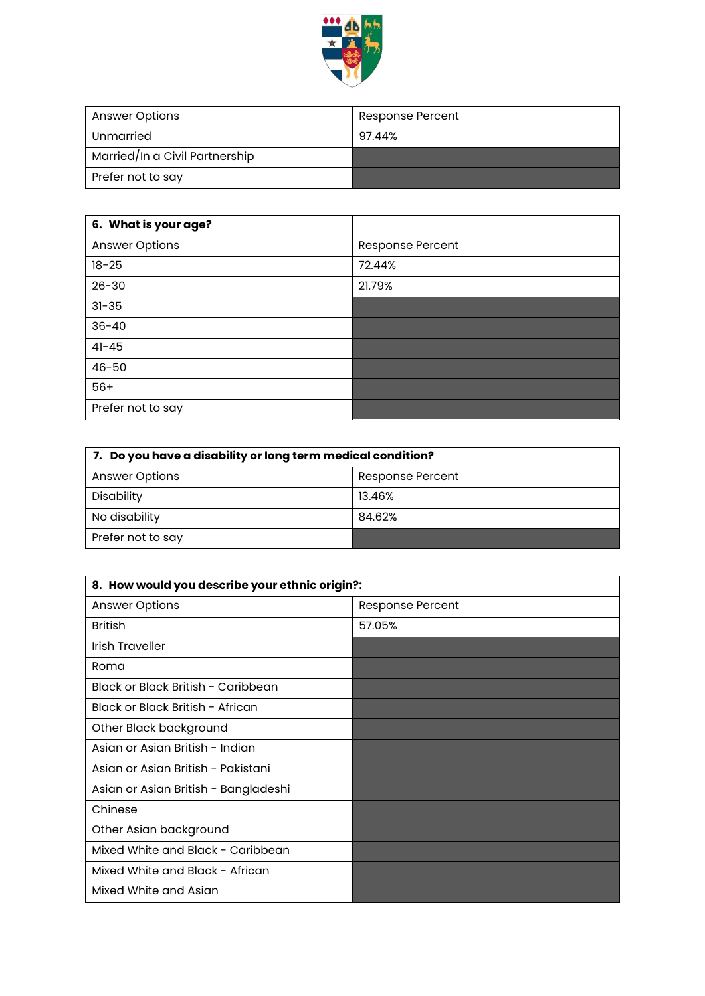

| <b>Answer Options</b>          | Response Percent |
|--------------------------------|------------------|
| Unmarried                      | 97.44%           |
| Married/In a Civil Partnership |                  |
| Prefer not to say              |                  |

| 6. What is your age?  |                  |
|-----------------------|------------------|
| <b>Answer Options</b> | Response Percent |
| $18 - 25$             | 72.44%           |
| $26 - 30$             | 21.79%           |
| $31 - 35$             |                  |
| $36 - 40$             |                  |
| $41 - 45$             |                  |
| $46 - 50$             |                  |
| $56+$                 |                  |
| Prefer not to say     |                  |

| 7. Do you have a disability or long term medical condition? |                         |
|-------------------------------------------------------------|-------------------------|
| <b>Answer Options</b>                                       | <b>Response Percent</b> |
| Disability                                                  | 13.46%                  |
| No disability                                               | 84.62%                  |
| Prefer not to say                                           |                         |

| 8. How would you describe your ethnic origin?: |                         |
|------------------------------------------------|-------------------------|
| <b>Answer Options</b>                          | <b>Response Percent</b> |
| <b>British</b>                                 | 57.05%                  |
| <b>Irish Traveller</b>                         |                         |
| Roma                                           |                         |
| Black or Black British - Caribbean             |                         |
| Black or Black British - African               |                         |
| Other Black background                         |                         |
| Asian or Asian British - Indian                |                         |
| Asian or Asian British - Pakistani             |                         |
| Asian or Asian British - Bangladeshi           |                         |
| Chinese                                        |                         |
| Other Asian background                         |                         |
| Mixed White and Black - Caribbean              |                         |
| Mixed White and Black - African                |                         |
| Mixed White and Asian                          |                         |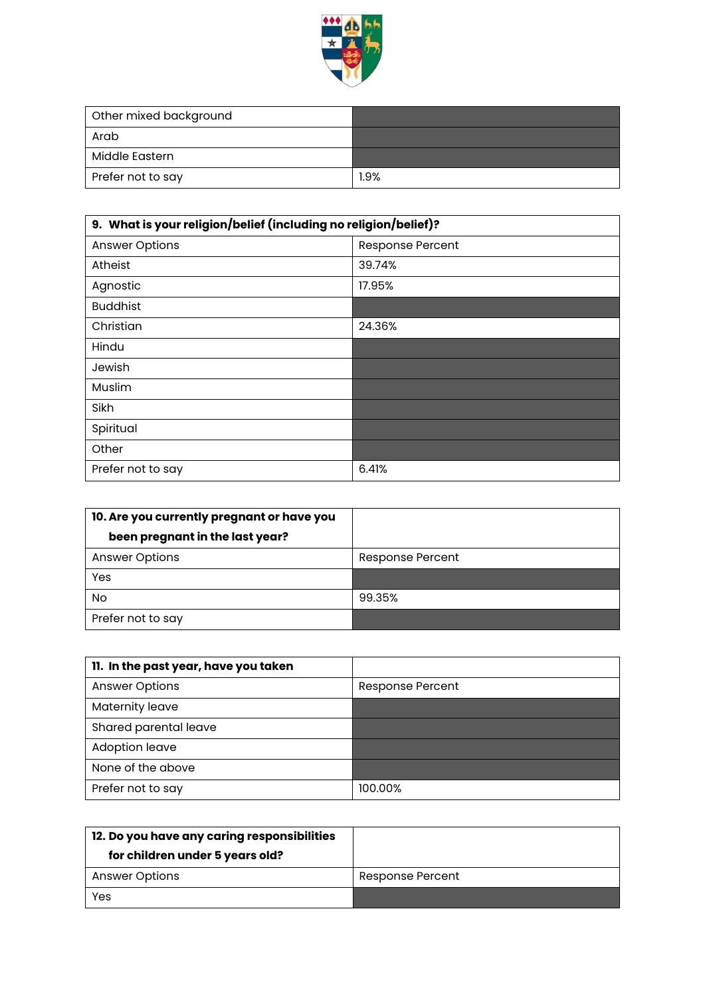

| Other mixed background |      |
|------------------------|------|
| Arab                   |      |
| Middle Eastern         |      |
| Prefer not to say      | 1.9% |

| 9. What is your religion/belief (including no religion/belief)? |                  |
|-----------------------------------------------------------------|------------------|
| <b>Answer Options</b>                                           | Response Percent |
| Atheist                                                         | 39.74%           |
| Agnostic                                                        | 17.95%           |
| <b>Buddhist</b>                                                 |                  |
| Christian                                                       | 24.36%           |
| Hindu                                                           |                  |
| Jewish                                                          |                  |
| Muslim                                                          |                  |
| Sikh                                                            |                  |
| Spiritual                                                       |                  |
| Other                                                           |                  |
| Prefer not to say                                               | 6.41%            |

| 10. Are you currently pregnant or have you |                         |
|--------------------------------------------|-------------------------|
| been pregnant in the last year?            |                         |
| <b>Answer Options</b>                      | <b>Response Percent</b> |
| Yes                                        |                         |
| No                                         | 99.35%                  |
| Prefer not to say                          |                         |

| 11. In the past year, have you taken |                         |
|--------------------------------------|-------------------------|
| <b>Answer Options</b>                | <b>Response Percent</b> |
| Maternity leave                      |                         |
| Shared parental leave                |                         |
| Adoption leave                       |                         |
| None of the above                    |                         |
| Prefer not to say                    | 100.00%                 |

| 12. Do you have any caring responsibilities<br>for children under 5 years old? |                  |
|--------------------------------------------------------------------------------|------------------|
| <b>Answer Options</b>                                                          | Response Percent |
| Yes                                                                            |                  |